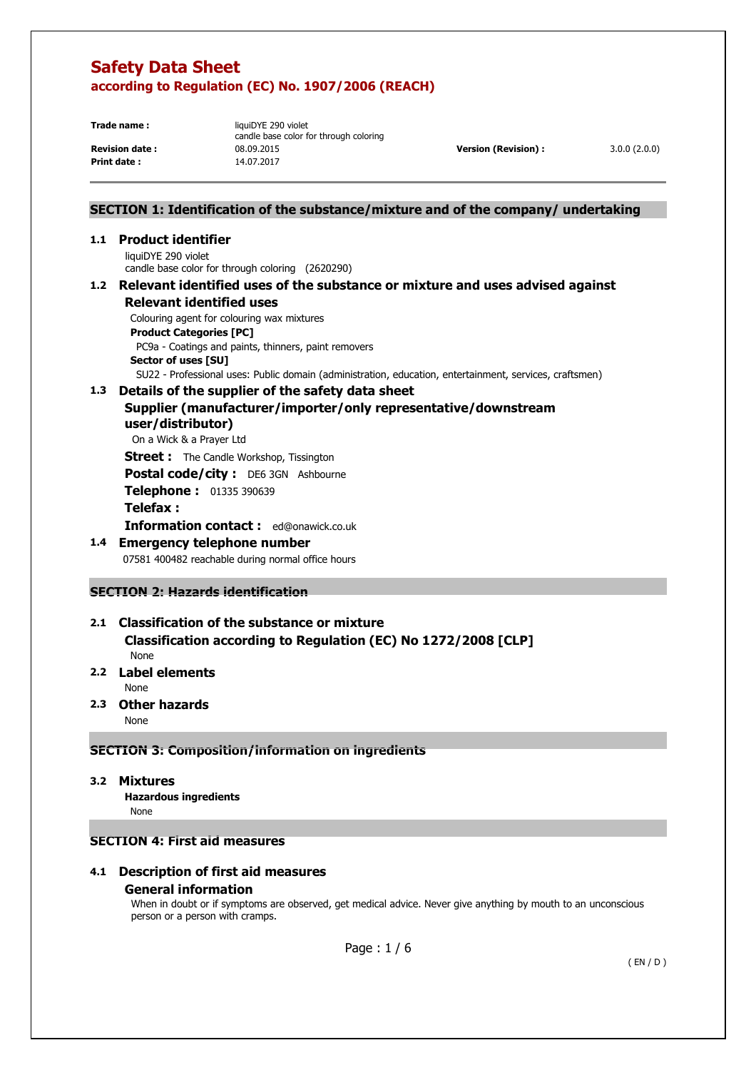**Print date :** 14.07.2017

**Trade name :** liquiDYE 290 violet candle base color for through coloring **Revision date :** 08.09.2015 **Version (Revision) :** 3.0.0 (2.0.0)

# **SECTION 1: Identification of the substance/mixture and of the company/ undertaking**

# **1.1 Product identifier**

liquiDYE 290 violet candle base color for through coloring (2620290)

### **1.2 Relevant identified uses of the substance or mixture and uses advised against Relevant identified uses**

Colouring agent for colouring wax mixtures

**Product Categories [PC]** 

 PC9a - Coatings and paints, thinners, paint removers **Sector of uses [SU]** 

SU22 - Professional uses: Public domain (administration, education, entertainment, services, craftsmen)

### **1.3 Details of the supplier of the safety data sheet**

# **Supplier (manufacturer/importer/only representative/downstream user/distributor)**

On a Wick & a Prayer Ltd

**Street :** The Candle Workshop, Tissington

**Postal code/city :** DE6 3GN Ashbourne

**Telephone :** 01335 390639

# **Telefax :**

**Information contact :** ed@onawick.co.uk

# **1.4 Emergency telephone number**

07581 400482 reachable during normal office hours

# **SECTION 2: Hazards identification**

# **2.1 Classification of the substance or mixture Classification according to Regulation (EC) No 1272/2008 [CLP]**

None

# **2.2 Label elements**

None

**2.3 Other hazards** 

None

# **SECTION 3: Composition/information on ingredients**

**3.2 Mixtures** 

 **Hazardous ingredients** None

# **SECTION 4: First aid measures**

# **4.1 Description of first aid measures General information**

When in doubt or if symptoms are observed, get medical advice. Never give anything by mouth to an unconscious person or a person with cramps.

Page : 1 / 6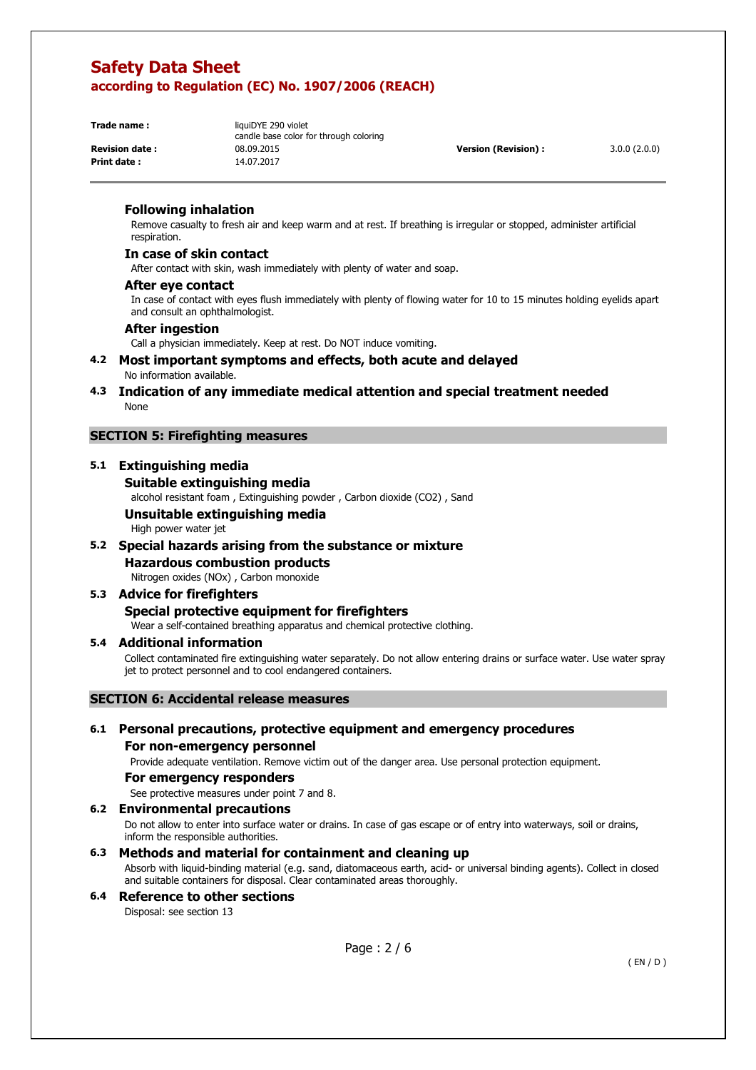**Print date :** 14.07.2017

**Trade name :** liquiDYE 290 violet candle base color for through coloring **Revision date :** 08.09.2015 **Version (Revision) :** 3.0.0 (2.0.0)

#### **Following inhalation**

Remove casualty to fresh air and keep warm and at rest. If breathing is irregular or stopped, administer artificial respiration.

#### **In case of skin contact**

After contact with skin, wash immediately with plenty of water and soap.

#### **After eye contact**

In case of contact with eyes flush immediately with plenty of flowing water for 10 to 15 minutes holding eyelids apart and consult an ophthalmologist.

#### **After ingestion**

Call a physician immediately. Keep at rest. Do NOT induce vomiting.

#### **4.2 Most important symptoms and effects, both acute and delayed**  No information available.

**4.3 Indication of any immediate medical attention and special treatment needed**  None

#### **SECTION 5: Firefighting measures**

# **5.1 Extinguishing media**

#### **Suitable extinguishing media**

alcohol resistant foam , Extinguishing powder , Carbon dioxide (CO2) , Sand

# **Unsuitable extinguishing media**

High power water jet

#### **5.2 Special hazards arising from the substance or mixture**

# **Hazardous combustion products**

Nitrogen oxides (NOx) , Carbon monoxide

#### **5.3 Advice for firefighters Special protective equipment for firefighters**

Wear a self-contained breathing apparatus and chemical protective clothing.

#### **5.4 Additional information**

Collect contaminated fire extinguishing water separately. Do not allow entering drains or surface water. Use water spray jet to protect personnel and to cool endangered containers.

#### **SECTION 6: Accidental release measures**

# **6.1 Personal precautions, protective equipment and emergency procedures For non-emergency personnel**

Provide adequate ventilation. Remove victim out of the danger area. Use personal protection equipment.

#### **For emergency responders**

See protective measures under point 7 and 8.

#### **6.2 Environmental precautions**

Do not allow to enter into surface water or drains. In case of gas escape or of entry into waterways, soil or drains, inform the responsible authorities.

### **6.3 Methods and material for containment and cleaning up**

Absorb with liquid-binding material (e.g. sand, diatomaceous earth, acid- or universal binding agents). Collect in closed and suitable containers for disposal. Clear contaminated areas thoroughly.

#### **6.4 Reference to other sections**  Disposal: see section 13

Page : 2 / 6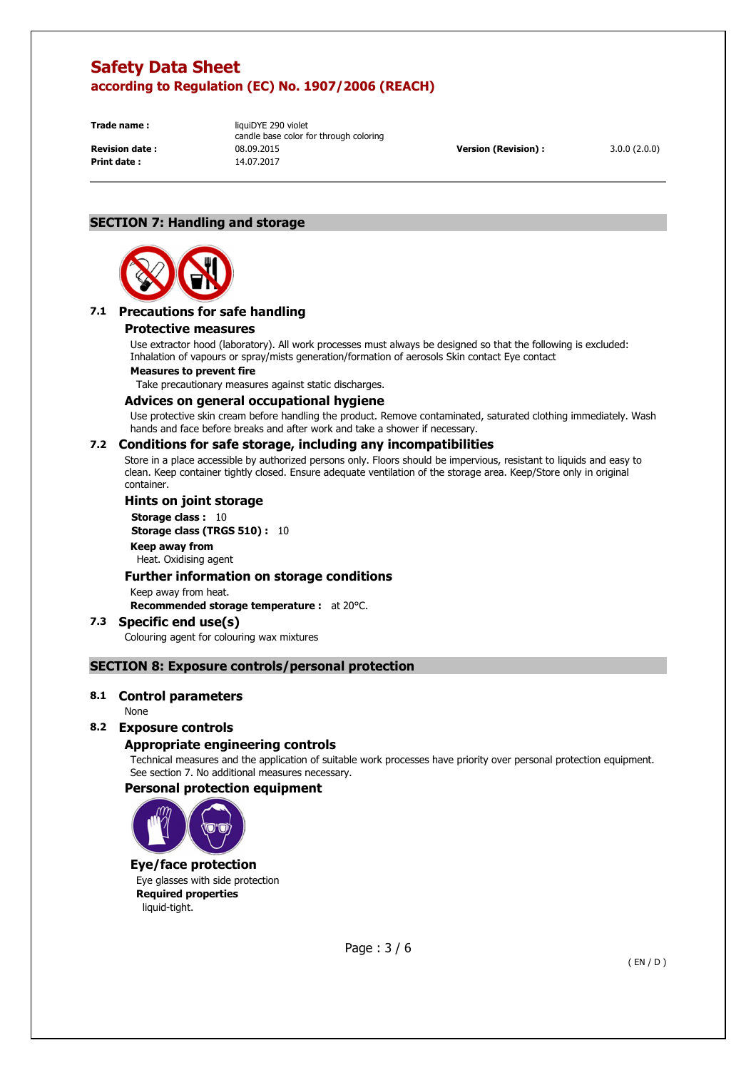**Print date :** 14.07.2017

**Trade name :** liquiDYE 290 violet candle base color for through coloring **Revision date :** 08.09.2015 **Version (Revision) :** 3.0.0 (2.0.0)

# **SECTION 7: Handling and storage**



# **7.1 Precautions for safe handling**

#### **Protective measures**

Use extractor hood (laboratory). All work processes must always be designed so that the following is excluded: Inhalation of vapours or spray/mists generation/formation of aerosols Skin contact Eye contact

#### **Measures to prevent fire**

Take precautionary measures against static discharges.

#### **Advices on general occupational hygiene**

Use protective skin cream before handling the product. Remove contaminated, saturated clothing immediately. Wash hands and face before breaks and after work and take a shower if necessary.

### **7.2 Conditions for safe storage, including any incompatibilities**

Store in a place accessible by authorized persons only. Floors should be impervious, resistant to liquids and easy to clean. Keep container tightly closed. Ensure adequate ventilation of the storage area. Keep/Store only in original container.

#### **Hints on joint storage**

**Storage class : 10 Storage class (TRGS 510) :** 10 **Keep away from**  Heat. Oxidising agent

#### **Further information on storage conditions**

Keep away from heat.

**Recommended storage temperature :** at 20°C.

#### **7.3 Specific end use(s)**  Colouring agent for colouring wax mixtures

# **SECTION 8: Exposure controls/personal protection**

#### **8.1 Control parameters**

None

#### **8.2 Exposure controls**

#### **Appropriate engineering controls**

Technical measures and the application of suitable work processes have priority over personal protection equipment. See section 7. No additional measures necessary.

#### **Personal protection equipment**



# **Eye/face protection**

Eye glasses with side protection **Required properties**  liquid-tight.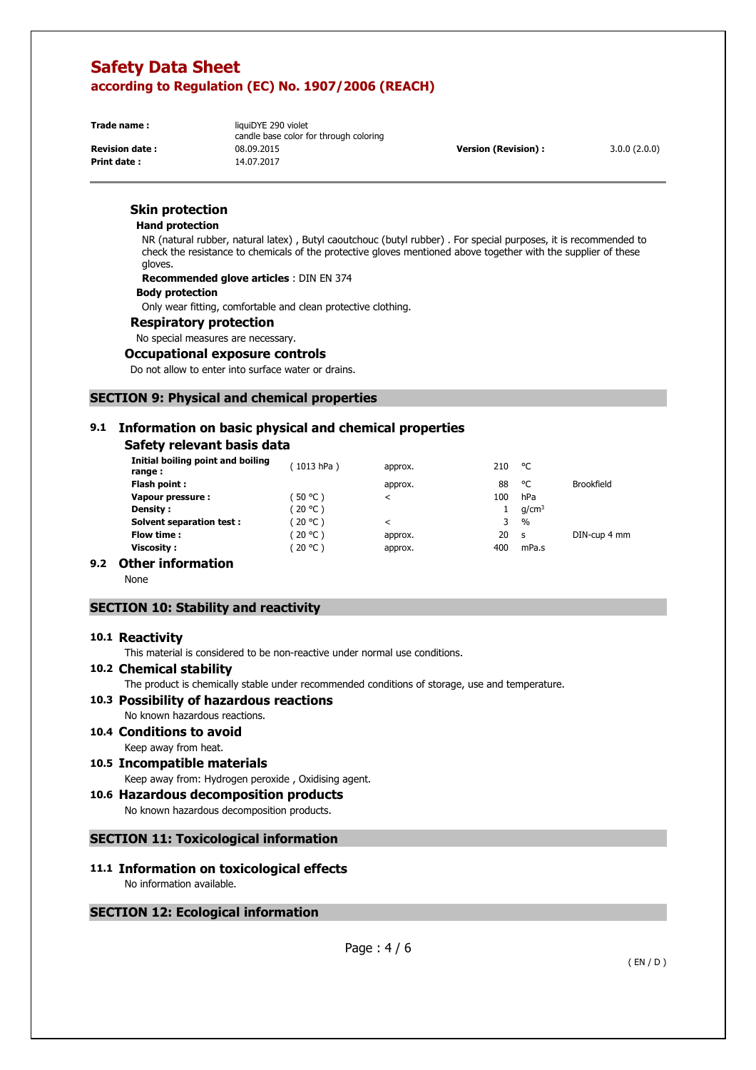**Print date :** 14.07.2017

**Trade name :** liquiDYE 290 violet candle base color for through coloring **Revision date :** 08.09.2015 **Version (Revision) :** 3.0.0 (2.0.0)

## **Skin protection**

#### **Hand protection**

NR (natural rubber, natural latex) , Butyl caoutchouc (butyl rubber) . For special purposes, it is recommended to check the resistance to chemicals of the protective gloves mentioned above together with the supplier of these gloves.

**Recommended glove articles** : DIN EN 374

#### **Body protection**

Only wear fitting, comfortable and clean protective clothing.

#### **Respiratory protection**

No special measures are necessary.

#### **Occupational exposure controls**

Do not allow to enter into surface water or drains.

### **SECTION 9: Physical and chemical properties**

# **9.1 Information on basic physical and chemical properties**

# **Safety relevant basis data**

| Initial boiling point and boiling<br>range: | (1013 hPa) | approx. | 210 | ۰c                |                   |
|---------------------------------------------|------------|---------|-----|-------------------|-------------------|
| Flash point:                                |            | approx. | 88  | ۰c                | <b>Brookfield</b> |
| Vapour pressure:                            | $50 °C$ )  | ≺       | 100 | hPa               |                   |
| <b>Density:</b>                             | (20 °C )   |         |     | q/cm <sup>3</sup> |                   |
| Solvent separation test:                    | $20 °C$ )  | ≺       | 3   | $\frac{1}{2}$     |                   |
| Flow time :                                 | $20 °C$ )  | approx. | 20  | <b>S</b>          | DIN-cup 4 mm      |
| Viscosity :                                 | (20 °C )   | approx. | 400 | mPa.s             |                   |
| .<br>- -                                    |            |         |     |                   |                   |

# **9.2 Other information**

None

### **SECTION 10: Stability and reactivity**

#### **10.1 Reactivity**

This material is considered to be non-reactive under normal use conditions.

#### **10.2 Chemical stability**

The product is chemically stable under recommended conditions of storage, use and temperature.

# **10.3 Possibility of hazardous reactions**

No known hazardous reactions.

- **10.4 Conditions to avoid**  Keep away from heat.
- **10.5 Incompatible materials**  Keep away from: Hydrogen peroxide , Oxidising agent.

# **10.6 Hazardous decomposition products**

No known hazardous decomposition products.

#### **SECTION 11: Toxicological information**

#### **11.1 Information on toxicological effects**  No information available.

#### **SECTION 12: Ecological information**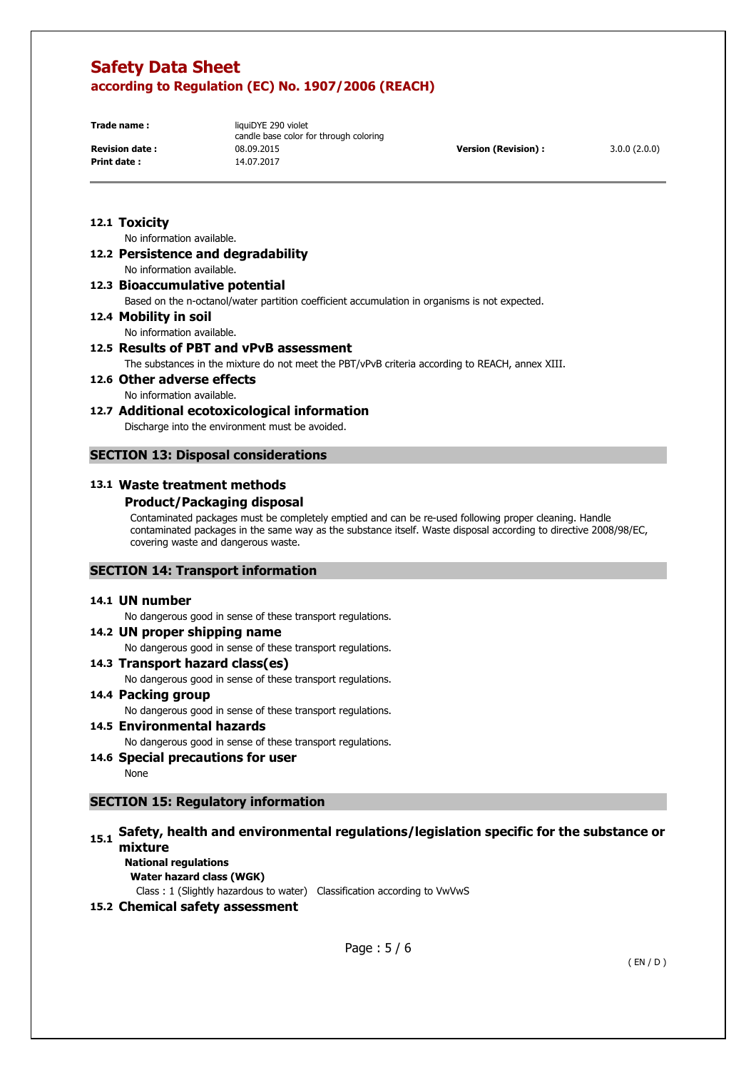**Print date :** 14.07.2017

**Trade name :** liquiDYE 290 violet candle base color for through coloring **Revision date :** 08.09.2015 **Version (Revision) :** 3.0.0 (2.0.0)

#### **12.1 Toxicity**

No information available.

# **12.2 Persistence and degradability**

No information available.

# **12.3 Bioaccumulative potential**

Based on the n-octanol/water partition coefficient accumulation in organisms is not expected.

# **12.4 Mobility in soil**

No information available.

# **12.5 Results of PBT and vPvB assessment**

The substances in the mixture do not meet the PBT/vPvB criteria according to REACH, annex XIII.

**12.6 Other adverse effects**  No information available.

# **12.7 Additional ecotoxicological information**

Discharge into the environment must be avoided.

#### **SECTION 13: Disposal considerations**

#### **13.1 Waste treatment methods**

#### **Product/Packaging disposal**

Contaminated packages must be completely emptied and can be re-used following proper cleaning. Handle contaminated packages in the same way as the substance itself. Waste disposal according to directive 2008/98/EC, covering waste and dangerous waste.

#### **SECTION 14: Transport information**

#### **14.1 UN number**

No dangerous good in sense of these transport regulations.

### **14.2 UN proper shipping name**

No dangerous good in sense of these transport regulations.

#### **14.3 Transport hazard class(es)**

No dangerous good in sense of these transport regulations.

#### **14.4 Packing group**

No dangerous good in sense of these transport regulations.

# **14.5 Environmental hazards**

No dangerous good in sense of these transport regulations.

### **14.6 Special precautions for user**

None

# **SECTION 15: Regulatory information**

# **15.1 Safety, health and environmental regulations/legislation specific for the substance or mixture**

**National regulations Water hazard class (WGK)** 

Class : 1 (Slightly hazardous to water) Classification according to VwVwS

#### **15.2 Chemical safety assessment**